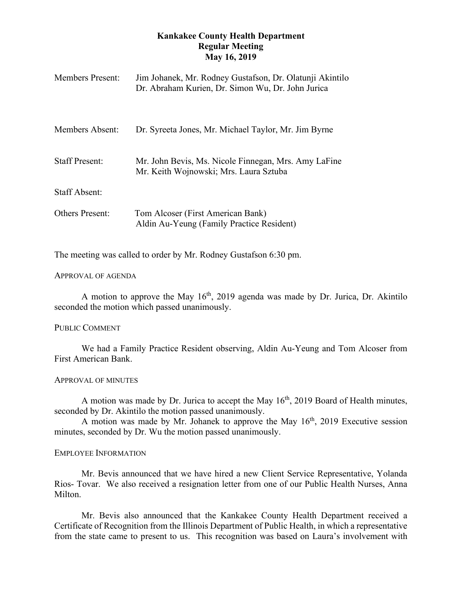# **Kankakee County Health Department Regular Meeting May 16, 2019**

| <b>Members Present:</b> | Jim Johanek, Mr. Rodney Gustafson, Dr. Olatunji Akintilo<br>Dr. Abraham Kurien, Dr. Simon Wu, Dr. John Jurica |
|-------------------------|---------------------------------------------------------------------------------------------------------------|
| Members Absent:         | Dr. Syreeta Jones, Mr. Michael Taylor, Mr. Jim Byrne                                                          |
| <b>Staff Present:</b>   | Mr. John Bevis, Ms. Nicole Finnegan, Mrs. Amy LaFine<br>Mr. Keith Wojnowski; Mrs. Laura Sztuba                |
| <b>Staff Absent:</b>    |                                                                                                               |
| <b>Others Present:</b>  | Tom Alcoser (First American Bank)<br>Aldin Au-Yeung (Family Practice Resident)                                |

The meeting was called to order by Mr. Rodney Gustafson 6:30 pm.

### APPROVAL OF AGENDA

A motion to approve the May  $16<sup>th</sup>$ , 2019 agenda was made by Dr. Jurica, Dr. Akintilo seconded the motion which passed unanimously.

# PUBLIC COMMENT

We had a Family Practice Resident observing, Aldin Au-Yeung and Tom Alcoser from First American Bank.

### APPROVAL OF MINUTES

A motion was made by Dr. Jurica to accept the May  $16<sup>th</sup>$ , 2019 Board of Health minutes, seconded by Dr. Akintilo the motion passed unanimously.

A motion was made by Mr. Johanek to approve the May  $16<sup>th</sup>$ , 2019 Executive session minutes, seconded by Dr. Wu the motion passed unanimously.

### EMPLOYEE INFORMATION

Mr. Bevis announced that we have hired a new Client Service Representative, Yolanda Rios- Tovar. We also received a resignation letter from one of our Public Health Nurses, Anna Milton.

Mr. Bevis also announced that the Kankakee County Health Department received a Certificate of Recognition from the Illinois Department of Public Health, in which a representative from the state came to present to us. This recognition was based on Laura's involvement with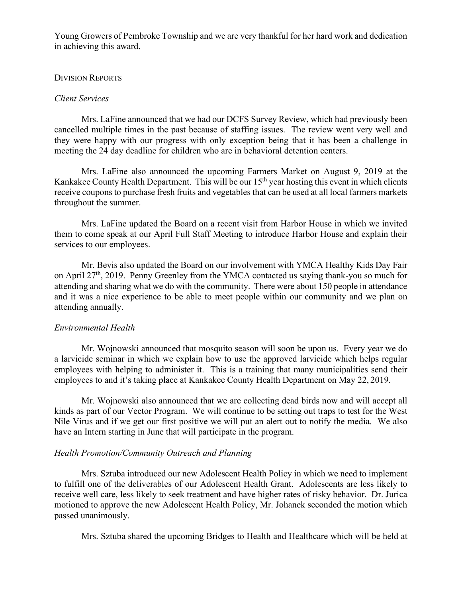Young Growers of Pembroke Township and we are very thankful for her hard work and dedication in achieving this award.

## DIVISION REPORTS

## *Client Services*

Mrs. LaFine announced that we had our DCFS Survey Review, which had previously been cancelled multiple times in the past because of staffing issues. The review went very well and they were happy with our progress with only exception being that it has been a challenge in meeting the 24 day deadline for children who are in behavioral detention centers.

Mrs. LaFine also announced the upcoming Farmers Market on August 9, 2019 at the Kankakee County Health Department. This will be our  $15<sup>th</sup>$  year hosting this event in which clients receive coupons to purchase fresh fruits and vegetables that can be used at all local farmers markets throughout the summer.

Mrs. LaFine updated the Board on a recent visit from Harbor House in which we invited them to come speak at our April Full Staff Meeting to introduce Harbor House and explain their services to our employees.

Mr. Bevis also updated the Board on our involvement with YMCA Healthy Kids Day Fair on April 27<sup>th</sup>, 2019. Penny Greenley from the YMCA contacted us saying thank-you so much for attending and sharing what we do with the community. There were about 150 people in attendance and it was a nice experience to be able to meet people within our community and we plan on attending annually.

# *Environmental Health*

 Mr. Wojnowski announced that mosquito season will soon be upon us. Every year we do a larvicide seminar in which we explain how to use the approved larvicide which helps regular employees with helping to administer it. This is a training that many municipalities send their employees to and it's taking place at Kankakee County Health Department on May 22, 2019.

Mr. Wojnowski also announced that we are collecting dead birds now and will accept all kinds as part of our Vector Program. We will continue to be setting out traps to test for the West Nile Virus and if we get our first positive we will put an alert out to notify the media. We also have an Intern starting in June that will participate in the program.

# *Health Promotion/Community Outreach and Planning*

Mrs. Sztuba introduced our new Adolescent Health Policy in which we need to implement to fulfill one of the deliverables of our Adolescent Health Grant. Adolescents are less likely to receive well care, less likely to seek treatment and have higher rates of risky behavior. Dr. Jurica motioned to approve the new Adolescent Health Policy, Mr. Johanek seconded the motion which passed unanimously.

Mrs. Sztuba shared the upcoming Bridges to Health and Healthcare which will be held at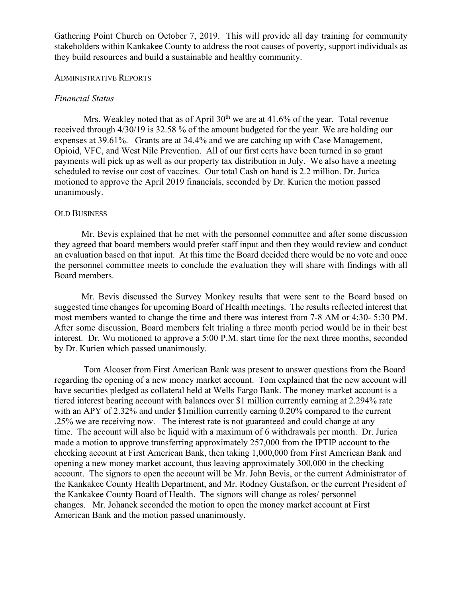Gathering Point Church on October 7, 2019. This will provide all day training for community stakeholders within Kankakee County to address the root causes of poverty, support individuals as they build resources and build a sustainable and healthy community.

#### ADMINISTRATIVE REPORTS

## *Financial Status*

Mrs. Weakley noted that as of April  $30<sup>th</sup>$  we are at 41.6% of the year. Total revenue received through 4/30/19 is 32.58 % of the amount budgeted for the year. We are holding our expenses at 39.61%. Grants are at 34.4% and we are catching up with Case Management, Opioid, VFC, and West Nile Prevention. All of our first certs have been turned in so grant payments will pick up as well as our property tax distribution in July. We also have a meeting scheduled to revise our cost of vaccines. Our total Cash on hand is 2.2 million. Dr. Jurica motioned to approve the April 2019 financials, seconded by Dr. Kurien the motion passed unanimously.

### OLD BUSINESS

Mr. Bevis explained that he met with the personnel committee and after some discussion they agreed that board members would prefer staff input and then they would review and conduct an evaluation based on that input. At this time the Board decided there would be no vote and once the personnel committee meets to conclude the evaluation they will share with findings with all Board members.

Mr. Bevis discussed the Survey Monkey results that were sent to the Board based on suggested time changes for upcoming Board of Health meetings. The results reflected interest that most members wanted to change the time and there was interest from 7-8 AM or 4:30- 5:30 PM. After some discussion, Board members felt trialing a three month period would be in their best interest. Dr. Wu motioned to approve a 5:00 P.M. start time for the next three months, seconded by Dr. Kurien which passed unanimously.

Tom Alcoser from First American Bank was present to answer questions from the Board regarding the opening of a new money market account. Tom explained that the new account will have securities pledged as collateral held at Wells Fargo Bank. The money market account is a tiered interest bearing account with balances over \$1 million currently earning at 2.294% rate with an APY of 2.32% and under \$1million currently earning 0.20% compared to the current .25% we are receiving now. The interest rate is not guaranteed and could change at any time. The account will also be liquid with a maximum of 6 withdrawals per month. Dr. Jurica made a motion to approve transferring approximately 257,000 from the IPTIP account to the checking account at First American Bank, then taking 1,000,000 from First American Bank and opening a new money market account, thus leaving approximately 300,000 in the checking account. The signors to open the account will be Mr. John Bevis, or the current Administrator of the Kankakee County Health Department, and Mr. Rodney Gustafson, or the current President of the Kankakee County Board of Health. The signors will change as roles/ personnel changes. Mr. Johanek seconded the motion to open the money market account at First American Bank and the motion passed unanimously.